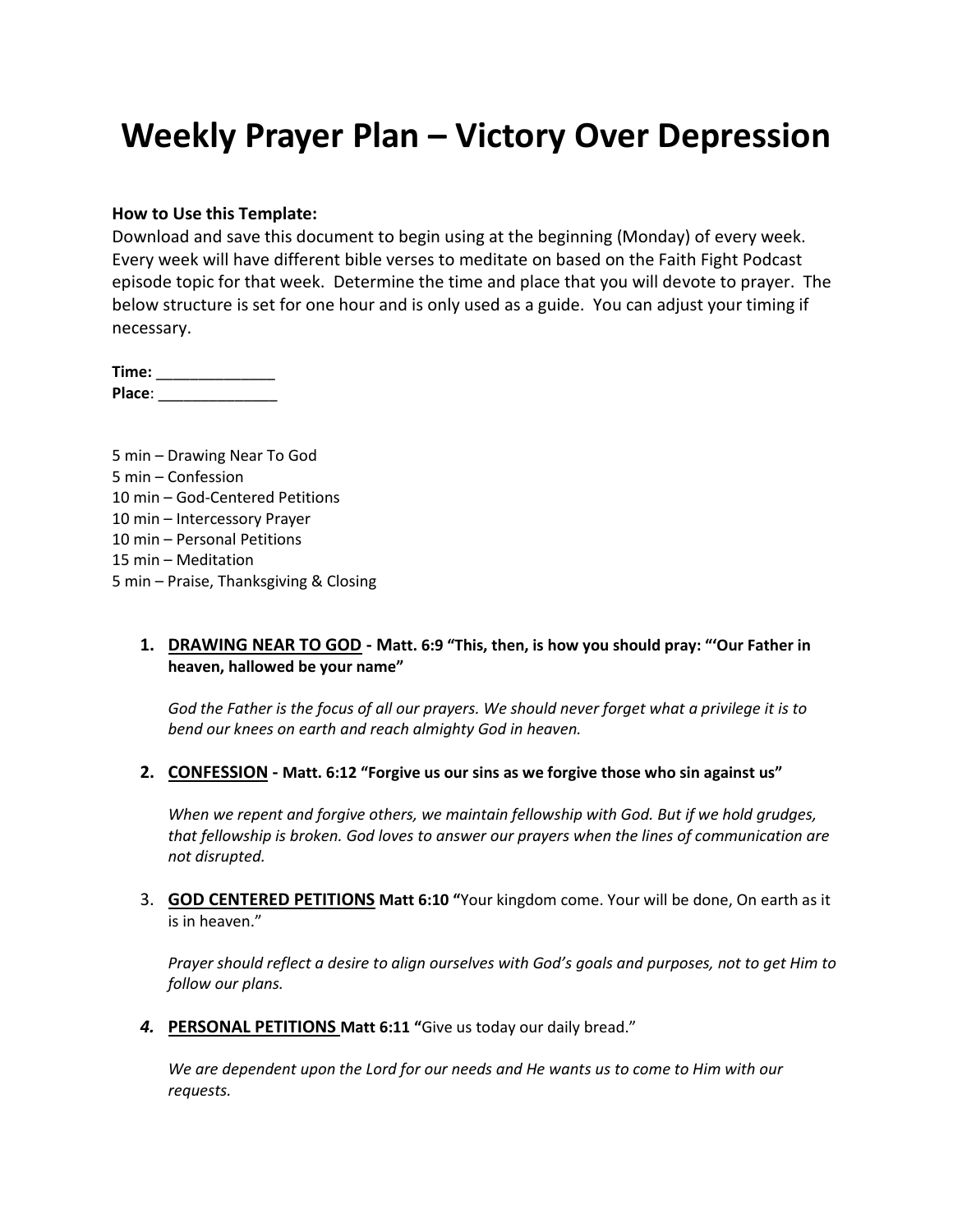# **Weekly Prayer Plan – Victory Over Depression**

#### **How to Use this Template:**

Download and save this document to begin using at the beginning (Monday) of every week. Every week will have different bible verses to meditate on based on the Faith Fight Podcast episode topic for that week. Determine the time and place that you will devote to prayer. The below structure is set for one hour and is only used as a guide. You can adjust your timing if necessary.

| Time:  |  |
|--------|--|
| Place: |  |

| 5 min – Drawing Near To God            |
|----------------------------------------|
| 5 min – Confession                     |
| 10 min – God-Centered Petitions        |
| 10 min - Intercessory Prayer           |
| 10 min – Personal Petitions            |
| 15 min – Meditation                    |
| 5 min - Praise, Thanksgiving & Closing |

#### **1. DRAWING NEAR TO GOD - Matt. 6:9 "This, then, is how you should pray: "'Our Father in heaven, hallowed be your name"**

*God the Father is the focus of all our prayers. We should never forget what a privilege it is to bend our knees on earth and reach almighty God in heaven.*

#### **2. CONFESSION - Matt. 6:12 "Forgive us our sins as we forgive those who sin against us"**

*When we repent and forgive others, we maintain fellowship with God. But if we hold grudges, that fellowship is broken. God loves to answer our prayers when the lines of communication are not disrupted.*

3. **GOD CENTERED PETITIONS Matt 6:10 "**Your kingdom come. Your will be done, On earth as it is in heaven."

*Prayer should reflect a desire to align ourselves with God's goals and purposes, not to get Him to follow our plans.*

*4.* **PERSONAL PETITIONS Matt 6:11 "**Give us today our daily bread."

*We are dependent upon the Lord for our needs and He wants us to come to Him with our requests.*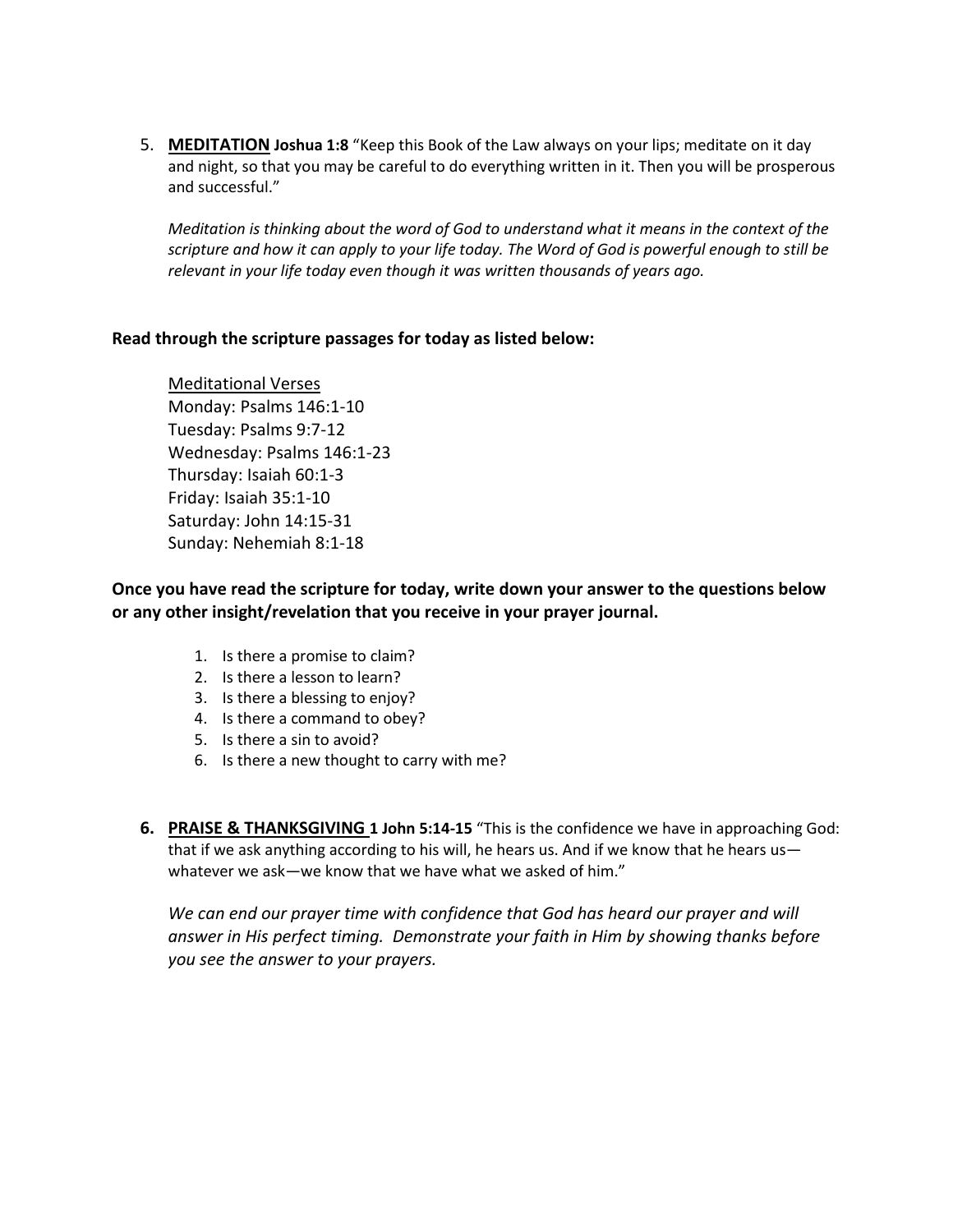5. **MEDITATION Joshua 1:8** "Keep this Book of the Law always on your lips; meditate on it day and night, so that you may be careful to do everything written in it. Then you will be prosperous and successful."

*Meditation is thinking about the word of God to understand what it means in the context of the scripture and how it can apply to your life today. The Word of God is powerful enough to still be relevant in your life today even though it was written thousands of years ago.*

### **Read through the scripture passages for today as listed below:**

Meditational Verses Monday: Psalms 146:1-10 Tuesday: Psalms 9:7-12 Wednesday: Psalms 146:1-23 Thursday: Isaiah 60:1-3 Friday: Isaiah 35:1-10 Saturday: John 14:15-31 Sunday: Nehemiah 8:1-18

### **Once you have read the scripture for today, write down your answer to the questions below or any other insight/revelation that you receive in your prayer journal.**

- 1. Is there a promise to claim?
- 2. Is there a lesson to learn?
- 3. Is there a blessing to enjoy?
- 4. Is there a command to obey?
- 5. Is there a sin to avoid?
- 6. Is there a new thought to carry with me?
- **6. PRAISE & THANKSGIVING 1 John 5:14-15** "This is the confidence we have in approaching God: that if we ask anything according to his will, he hears us. And if we know that he hears us whatever we ask—we know that we have what we asked of him."

*We can end our prayer time with confidence that God has heard our prayer and will answer in His perfect timing. Demonstrate your faith in Him by showing thanks before you see the answer to your prayers.*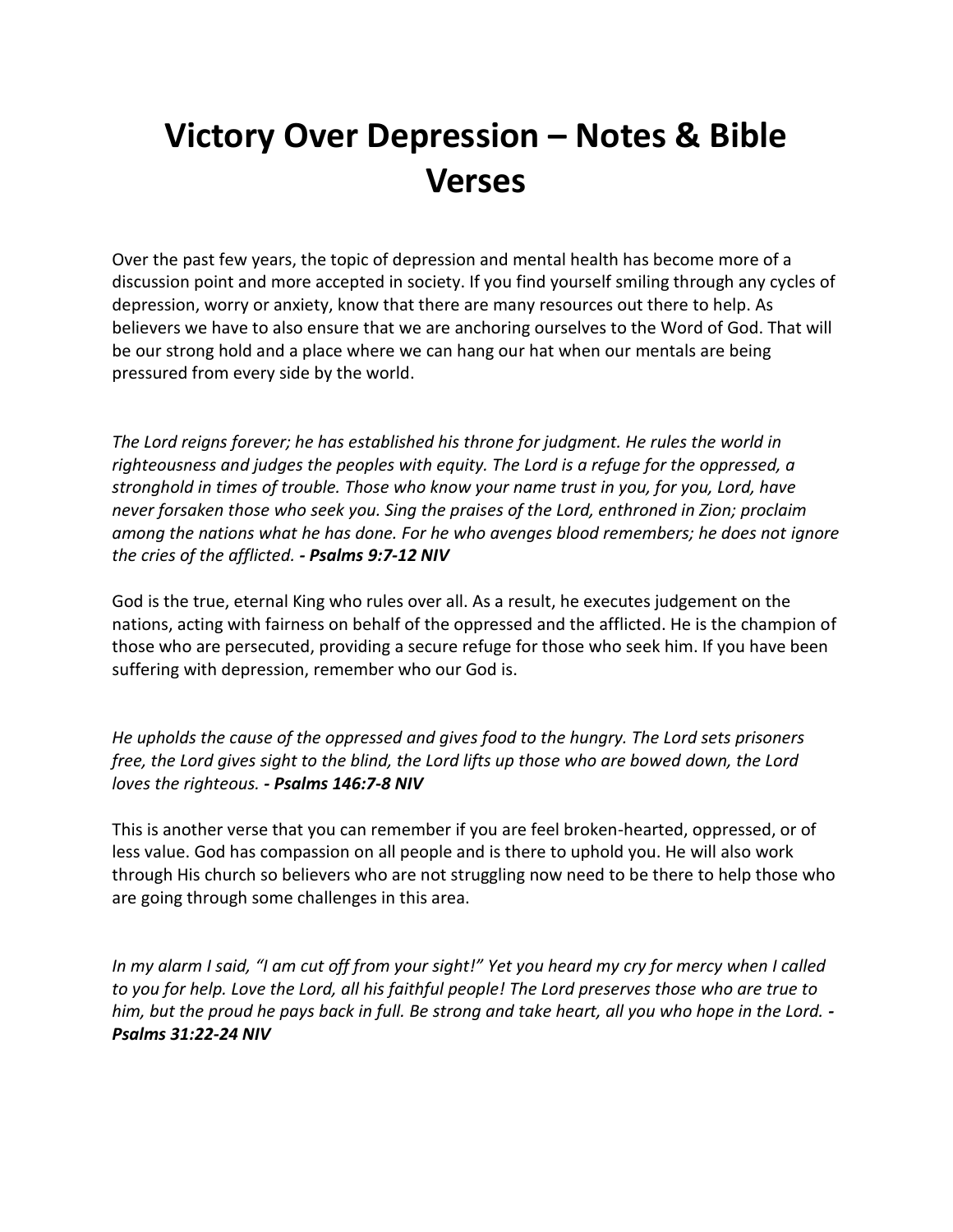# **Victory Over Depression – Notes & Bible Verses**

Over the past few years, the topic of depression and mental health has become more of a discussion point and more accepted in society. If you find yourself smiling through any cycles of depression, worry or anxiety, know that there are many resources out there to help. As believers we have to also ensure that we are anchoring ourselves to the Word of God. That will be our strong hold and a place where we can hang our hat when our mentals are being pressured from every side by the world.

*The Lord reigns forever; he has established his throne for judgment. He rules the world in righteousness and judges the peoples with equity. The Lord is a refuge for the oppressed, a stronghold in times of trouble. Those who know your name trust in you, for you, Lord, have never forsaken those who seek you. Sing the praises of the Lord, enthroned in Zion; proclaim among the nations what he has done. For he who avenges blood remembers; he does not ignore the cries of the afflicted. - Psalms 9:7-12 NIV*

God is the true, eternal King who rules over all. As a result, he executes judgement on the nations, acting with fairness on behalf of the oppressed and the afflicted. He is the champion of those who are persecuted, providing a secure refuge for those who seek him. If you have been suffering with depression, remember who our God is.

*He upholds the cause of the oppressed and gives food to the hungry. The Lord sets prisoners free, the Lord gives sight to the blind, the Lord lifts up those who are bowed down, the Lord loves the righteous. - Psalms 146:7-8 NIV*

This is another verse that you can remember if you are feel broken-hearted, oppressed, or of less value. God has compassion on all people and is there to uphold you. He will also work through His church so believers who are not struggling now need to be there to help those who are going through some challenges in this area.

*In my alarm I said, "I am cut off from your sight!" Yet you heard my cry for mercy when I called to you for help. Love the Lord, all his faithful people! The Lord preserves those who are true to him, but the proud he pays back in full. Be strong and take heart, all you who hope in the Lord. - Psalms 31:22-24 NIV*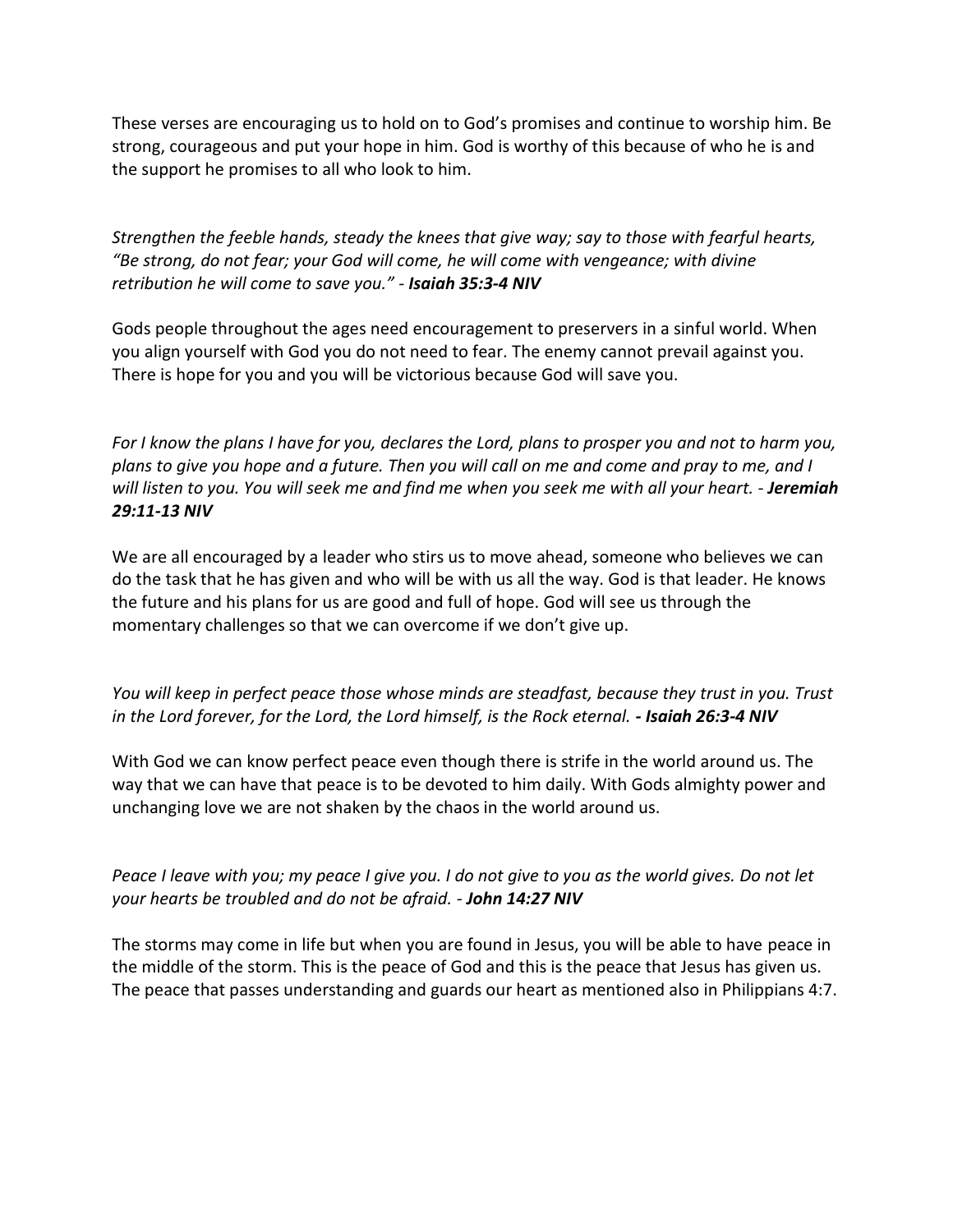These verses are encouraging us to hold on to God's promises and continue to worship him. Be strong, courageous and put your hope in him. God is worthy of this because of who he is and the support he promises to all who look to him.

*Strengthen the feeble hands, steady the knees that give way; say to those with fearful hearts, "Be strong, do not fear; your God will come, he will come with vengeance; with divine retribution he will come to save you." - Isaiah 35:3-4 NIV*

Gods people throughout the ages need encouragement to preservers in a sinful world. When you align yourself with God you do not need to fear. The enemy cannot prevail against you. There is hope for you and you will be victorious because God will save you.

*For I know the plans I have for you, declares the Lord, plans to prosper you and not to harm you, plans to give you hope and a future. Then you will call on me and come and pray to me, and I will listen to you. You will seek me and find me when you seek me with all your heart. - Jeremiah 29:11-13 NIV*

We are all encouraged by a leader who stirs us to move ahead, someone who believes we can do the task that he has given and who will be with us all the way. God is that leader. He knows the future and his plans for us are good and full of hope. God will see us through the momentary challenges so that we can overcome if we don't give up.

*You will keep in perfect peace those whose minds are steadfast, because they trust in you. Trust in the Lord forever, for the Lord, the Lord himself, is the Rock eternal. - Isaiah 26:3-4 NIV* 

With God we can know perfect peace even though there is strife in the world around us. The way that we can have that peace is to be devoted to him daily. With Gods almighty power and unchanging love we are not shaken by the chaos in the world around us.

*Peace I leave with you; my peace I give you. I do not give to you as the world gives. Do not let your hearts be troubled and do not be afraid. - John 14:27 NIV*

The storms may come in life but when you are found in Jesus, you will be able to have peace in the middle of the storm. This is the peace of God and this is the peace that Jesus has given us. The peace that passes understanding and guards our heart as mentioned also in Philippians 4:7.